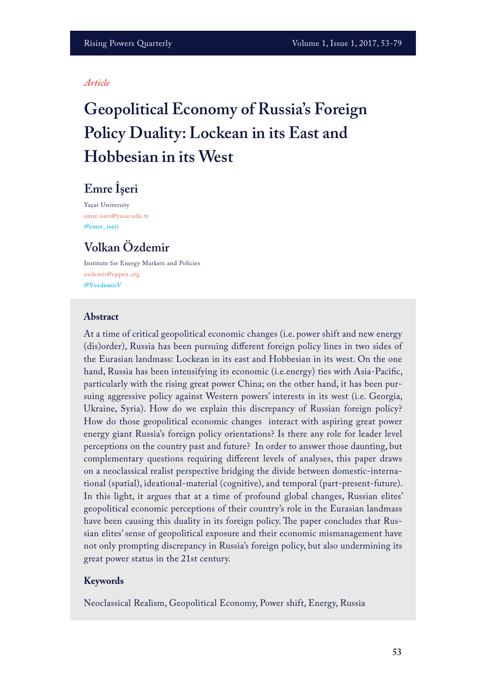#### *Article*

# **Geopolitical Economy of Russia's Foreign Policy Duality: Lockean in its East and Hobbesian in its West**

# **Emre İşeri**

Yaşar University emre.iseri@yasar.edu.tr **@emre\_iseri**

# **Volkan Özdemir**

Institute for Energy Markets and Policies ozdemir@eppen.org **@VozdemirV**

#### **Abstract**

At a time of critical geopolitical economic changes (i.e. power shift and new energy (dis)order), Russia has been pursuing diferent foreign policy lines in two sides of the Eurasian landmass: Lockean in its east and Hobbesian in its west. On the one hand, Russia has been intensifying its economic (i.e.energy) ties with Asia-Pacifc, particularly with the rising great power China; on the other hand, it has been pursuing aggressive policy against Western powers' interests in its west (i.e. Georgia, Ukraine, Syria). How do we explain this discrepancy of Russian foreign policy? How do those geopolitical economic changes interact with aspiring great power energy giant Russia's foreign policy orientations? Is there any role for leader level perceptions on the country past and future? In order to answer those daunting, but complementary questions requiring diferent levels of analyses, this paper draws on a neoclassical realist perspective bridging the divide between domestic-international (spatial), ideational-material (cognitive), and temporal (part-present-future). In this light, it argues that at a time of profound global changes, Russian elites' geopolitical economic perceptions of their country's role in the Eurasian landmass have been causing this duality in its foreign policy. The paper concludes that Russian elites' sense of geopolitical exposure and their economic mismanagement have not only prompting discrepancy in Russia's foreign policy, but also undermining its great power status in the 21st century.

#### **Keywords**

Neoclassical Realism, Geopolitical Economy, Power shift, Energy, Russia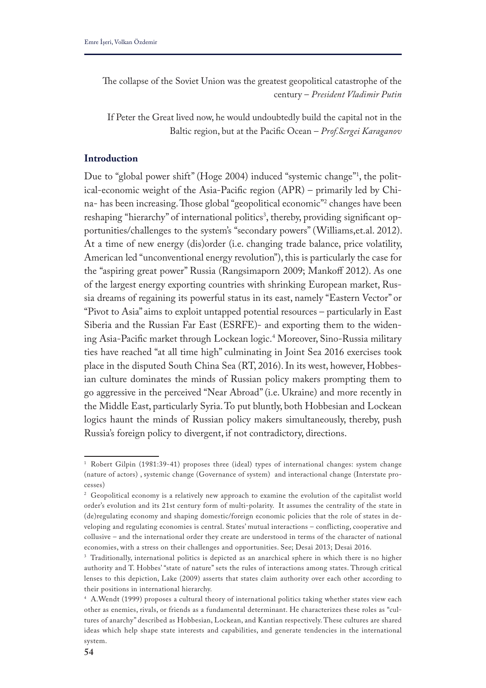The collapse of the Soviet Union was the greatest geopolitical catastrophe of the century – *President Vladimir Putin*

If Peter the Great lived now, he would undoubtedly build the capital not in the Baltic region, but at the Pacifc Ocean – *Prof.Sergei Karaganov*

#### **Introduction**

Due to "global power shift" (Hoge 2004) induced "systemic change"1 , the political-economic weight of the Asia-Pacifc region (APR) – primarily led by China- has been increasing. Those global "geopolitical economic"<sup>2</sup> changes have been reshaping "hierarchy" of international politics<sup>3</sup>, thereby, providing significant opportunities/challenges to the system's "secondary powers" (Williams,et.al. 2012). At a time of new energy (dis)order (i.e. changing trade balance, price volatility, American led "unconventional energy revolution"), this is particularly the case for the "aspiring great power" Russia (Rangsimaporn 2009; Mankoff 2012). As one of the largest energy exporting countries with shrinking European market, Russia dreams of regaining its powerful status in its east, namely "Eastern Vector" or "Pivot to Asia" aims to exploit untapped potential resources – particularly in East Siberia and the Russian Far East (ESRFE)- and exporting them to the widening Asia-Pacifc market through Lockean logic.4 Moreover, Sino-Russia military ties have reached "at all time high" culminating in Joint Sea 2016 exercises took place in the disputed South China Sea (RT, 2016). In its west, however, Hobbesian culture dominates the minds of Russian policy makers prompting them to go aggressive in the perceived "Near Abroad" (i.e. Ukraine) and more recently in the Middle East, particularly Syria. To put bluntly, both Hobbesian and Lockean logics haunt the minds of Russian policy makers simultaneously, thereby, push Russia's foreign policy to divergent, if not contradictory, directions.

<sup>1</sup> Robert Gilpin (1981:39-41) proposes three (ideal) types of international changes: system change (nature of actors) , systemic change (Governance of system) and interactional change (Interstate processes)

<sup>&</sup>lt;sup>2</sup> Geopolitical economy is a relatively new approach to examine the evolution of the capitalist world order's evolution and its 21st century form of multi-polarity. It assumes the centrality of the state in (de)regulating economy and shaping domestic/foreign economic policies that the role of states in developing and regulating economies is central. States' mutual interactions – conflicting, cooperative and collusive – and the international order they create are understood in terms of the character of national economies, with a stress on their challenges and opportunities. See; Desai 2013; Desai 2016.

<sup>&</sup>lt;sup>3</sup> Traditionally, international politics is depicted as an anarchical sphere in which there is no higher authority and T. Hobbes' "state of nature" sets the rules of interactions among states. Through critical lenses to this depiction, Lake (2009) asserts that states claim authority over each other according to their positions in international hierarchy.

<sup>4</sup> A.Wendt (1999) proposes a cultural theory of international politics taking whether states view each other as enemies, rivals, or friends as a fundamental determinant. He characterizes these roles as "cultures of anarchy" described as Hobbesian, Lockean, and Kantian respectively. These cultures are shared ideas which help shape state interests and capabilities, and generate tendencies in the international system.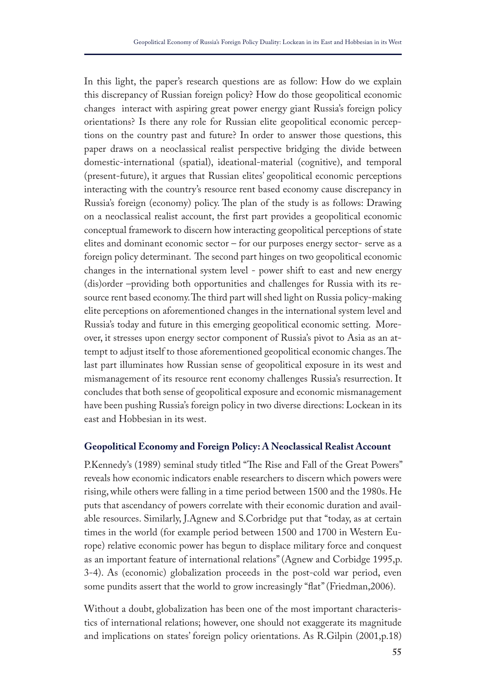In this light, the paper's research questions are as follow: How do we explain this discrepancy of Russian foreign policy? How do those geopolitical economic changes interact with aspiring great power energy giant Russia's foreign policy orientations? Is there any role for Russian elite geopolitical economic perceptions on the country past and future? In order to answer those questions, this paper draws on a neoclassical realist perspective bridging the divide between domestic-international (spatial), ideational-material (cognitive), and temporal (present-future), it argues that Russian elites' geopolitical economic perceptions interacting with the country's resource rent based economy cause discrepancy in Russia's foreign (economy) policy. The plan of the study is as follows: Drawing on a neoclassical realist account, the frst part provides a geopolitical economic conceptual framework to discern how interacting geopolitical perceptions of state elites and dominant economic sector – for our purposes energy sector- serve as a foreign policy determinant. The second part hinges on two geopolitical economic changes in the international system level - power shift to east and new energy (dis)order –providing both opportunities and challenges for Russia with its resource rent based economy. The third part will shed light on Russia policy-making elite perceptions on aforementioned changes in the international system level and Russia's today and future in this emerging geopolitical economic setting. Moreover, it stresses upon energy sector component of Russia's pivot to Asia as an attempt to adjust itself to those aforementioned geopolitical economic changes. The last part illuminates how Russian sense of geopolitical exposure in its west and mismanagement of its resource rent economy challenges Russia's resurrection. It concludes that both sense of geopolitical exposure and economic mismanagement have been pushing Russia's foreign policy in two diverse directions: Lockean in its east and Hobbesian in its west.

#### **Geopolitical Economy and Foreign Policy: A Neoclassical Realist Account**

P.Kennedy's (1989) seminal study titled "The Rise and Fall of the Great Powers" reveals how economic indicators enable researchers to discern which powers were rising, while others were falling in a time period between 1500 and the 1980s. He puts that ascendancy of powers correlate with their economic duration and available resources. Similarly, J.Agnew and S.Corbridge put that "today, as at certain times in the world (for example period between 1500 and 1700 in Western Europe) relative economic power has begun to displace military force and conquest as an important feature of international relations" (Agnew and Corbidge 1995,p. 3-4). As (economic) globalization proceeds in the post-cold war period, even some pundits assert that the world to grow increasingly "fat" (Friedman,2006).

Without a doubt, globalization has been one of the most important characteristics of international relations; however, one should not exaggerate its magnitude and implications on states' foreign policy orientations. As R.Gilpin (2001,p.18)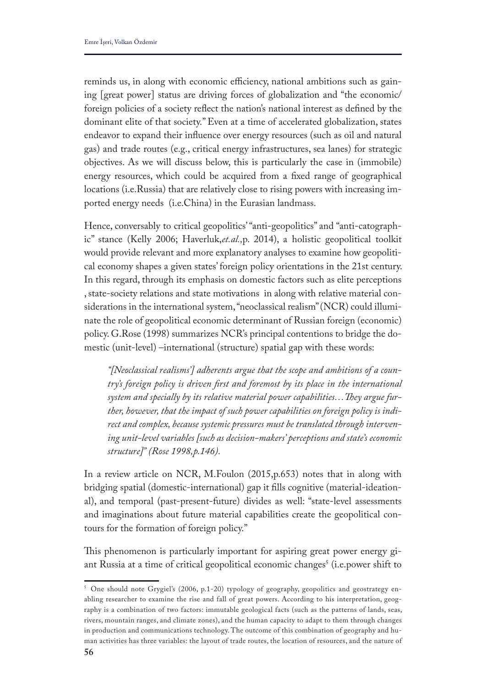reminds us, in along with economic efficiency, national ambitions such as gaining [great power] status are driving forces of globalization and "the economic/ foreign policies of a society refect the nation's national interest as defned by the dominant elite of that society." Even at a time of accelerated globalization, states endeavor to expand their infuence over energy resources (such as oil and natural gas) and trade routes (e.g., critical energy infrastructures, sea lanes) for strategic objectives. As we will discuss below, this is particularly the case in (immobile) energy resources, which could be acquired from a fxed range of geographical locations (i.e.Russia) that are relatively close to rising powers with increasing imported energy needs (i.e.China) in the Eurasian landmass.

Hence, conversably to critical geopolitics' "anti-geopolitics" and "anti-catographic" stance (Kelly 2006; Haverluk,*et.al.,*p. 2014), a holistic geopolitical toolkit would provide relevant and more explanatory analyses to examine how geopolitical economy shapes a given states' foreign policy orientations in the 21st century. In this regard, through its emphasis on domestic factors such as elite perceptions , state-society relations and state motivations in along with relative material considerations in the international system, "neoclassical realism" (NCR) could illuminate the role of geopolitical economic determinant of Russian foreign (economic) policy. G.Rose (1998) summarizes NCR's principal contentions to bridge the domestic (unit-level) –international (structure) spatial gap with these words:

*"[Neoclassical realisms'] adherents argue that the scope and ambitions of a country's foreign policy is driven frst and foremost by its place in the international system and specially by its relative material power capabilities…Tey argue further, however, that the impact of such power capabilities on foreign policy is indirect and complex, because systemic pressures must be translated through intervening unit-level variables [such as decision-makers' perceptions and state's economic structure]" (Rose 1998,p.146).*

In a review article on NCR, M.Foulon (2015,p.653) notes that in along with bridging spatial (domestic-international) gap it flls cognitive (material-ideational), and temporal (past-present-future) divides as well: "state-level assessments and imaginations about future material capabilities create the geopolitical contours for the formation of foreign policy."

This phenomenon is particularly important for aspiring great power energy giant Russia at a time of critical geopolitical economic changes<sup>s</sup> (i.e.power shift to

<sup>5</sup> One should note Grygiel's (2006, p.1-20) typology of geography, geopolitics and geostrategy enabling researcher to examine the rise and fall of great powers. According to his interpretation, geography is a combination of two factors: immutable geological facts (such as the patterns of lands, seas, rivers, mountain ranges, and climate zones), and the human capacity to adapt to them through changes in production and communications technology. The outcome of this combination of geography and human activities has three variables: the layout of trade routes, the location of resources, and the nature of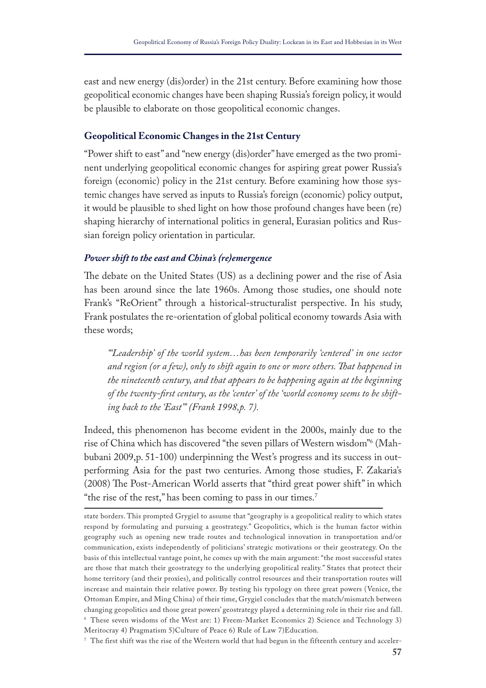east and new energy (dis)order) in the 21st century. Before examining how those geopolitical economic changes have been shaping Russia's foreign policy, it would be plausible to elaborate on those geopolitical economic changes.

#### **Geopolitical Economic Changes in the 21st Century**

"Power shift to east" and "new energy (dis)order" have emerged as the two prominent underlying geopolitical economic changes for aspiring great power Russia's foreign (economic) policy in the 21st century. Before examining how those systemic changes have served as inputs to Russia's foreign (economic) policy output, it would be plausible to shed light on how those profound changes have been (re) shaping hierarchy of international politics in general, Eurasian politics and Russian foreign policy orientation in particular.

#### *Power shift to the east and China's (re)emergence*

The debate on the United States (US) as a declining power and the rise of Asia has been around since the late 1960s. Among those studies, one should note Frank's "ReOrient" through a historical-structuralist perspective. In his study, Frank postulates the re-orientation of global political economy towards Asia with these words;

*"'Leadership' of the world system…has been temporarily 'centered' in one sector and region (or a few), only to shift again to one or more others. Tat happened in the nineteenth century, and that appears to be happening again at the beginning of the twenty-frst century, as the 'center' of the 'world economy seems to be shifting back to the 'East'" (Frank 1998,p. 7).*

Indeed, this phenomenon has become evident in the 2000s, mainly due to the rise of China which has discovered "the seven pillars of Western wisdom"6 (Mahbubani 2009,p. 51-100) underpinning the West's progress and its success in outperforming Asia for the past two centuries. Among those studies, F. Zakaria's (2008) The Post-American World asserts that "third great power shift" in which "the rise of the rest," has been coming to pass in our times.<sup>7</sup>

state borders. This prompted Grygiel to assume that "geography is a geopolitical reality to which states respond by formulating and pursuing a geostrategy." Geopolitics, which is the human factor within geography such as opening new trade routes and technological innovation in transportation and/or communication, exists independently of politicians' strategic motivations or their geostrategy. On the basis of this intellectual vantage point, he comes up with the main argument: "the most successful states are those that match their geostrategy to the underlying geopolitical reality." States that protect their home territory (and their proxies), and politically control resources and their transportation routes will increase and maintain their relative power. By testing his typology on three great powers (Venice, the Ottoman Empire, and Ming China) of their time, Grygiel concludes that the match/mismatch between changing geopolitics and those great powers' geostrategy played a determining role in their rise and fall. <sup>6</sup> These seven wisdoms of the West are: 1) Freem-Market Economics 2) Science and Technology 3) Meritocray 4) Pragmatism 5)Culture of Peace 6) Rule of Law 7)Education.

 $7$  The first shift was the rise of the Western world that had begun in the fifteenth century and acceler-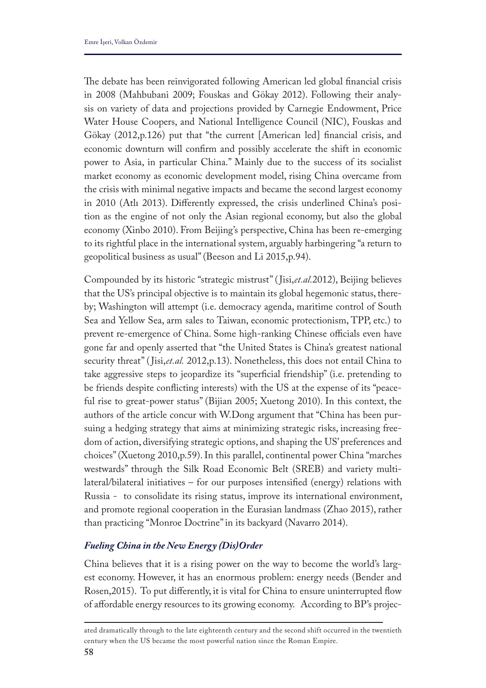The debate has been reinvigorated following American led global financial crisis in 2008 (Mahbubani 2009; Fouskas and Gökay 2012). Following their analysis on variety of data and projections provided by Carnegie Endowment, Price Water House Coopers, and National Intelligence Council (NIC), Fouskas and Gökay (2012,p.126) put that "the current [American led] fnancial crisis, and economic downturn will confrm and possibly accelerate the shift in economic power to Asia, in particular China." Mainly due to the success of its socialist market economy as economic development model, rising China overcame from the crisis with minimal negative impacts and became the second largest economy in 2010 (Atlı 2013). Diferently expressed, the crisis underlined China's position as the engine of not only the Asian regional economy, but also the global economy (Xinbo 2010). From Beijing's perspective, China has been re-emerging to its rightful place in the international system, arguably harbingering "a return to geopolitical business as usual" (Beeson and Li 2015,p.94).

Compounded by its historic "strategic mistrust" ( Jisi,*et.al.*2012), Beijing believes that the US's principal objective is to maintain its global hegemonic status, thereby; Washington will attempt (i.e. democracy agenda, maritime control of South Sea and Yellow Sea, arm sales to Taiwan, economic protectionism, TPP, etc.) to prevent re-emergence of China. Some high-ranking Chinese officials even have gone far and openly asserted that "the United States is China's greatest national security threat" ( Jisi,*et.al.* 2012,p.13). Nonetheless, this does not entail China to take aggressive steps to jeopardize its "superfcial friendship" (i.e. pretending to be friends despite conficting interests) with the US at the expense of its "peaceful rise to great-power status" (Bijian 2005; Xuetong 2010). In this context, the authors of the article concur with W.Dong argument that "China has been pursuing a hedging strategy that aims at minimizing strategic risks, increasing freedom of action, diversifying strategic options, and shaping the US' preferences and choices" (Xuetong 2010,p.59). In this parallel, continental power China "marches westwards" through the Silk Road Economic Belt (SREB) and variety multilateral/bilateral initiatives – for our purposes intensifed (energy) relations with Russia - to consolidate its rising status, improve its international environment, and promote regional cooperation in the Eurasian landmass (Zhao 2015), rather than practicing "Monroe Doctrine" in its backyard (Navarro 2014).

# *Fueling China in the New Energy (Dis)Order*

China believes that it is a rising power on the way to become the world's largest economy. However, it has an enormous problem: energy needs (Bender and Rosen,2015). To put diferently, it is vital for China to ensure uninterrupted fow of afordable energy resources to its growing economy. According to BP's projec-

ated dramatically through to the late eighteenth century and the second shift occurred in the twentieth century when the US became the most powerful nation since the Roman Empire.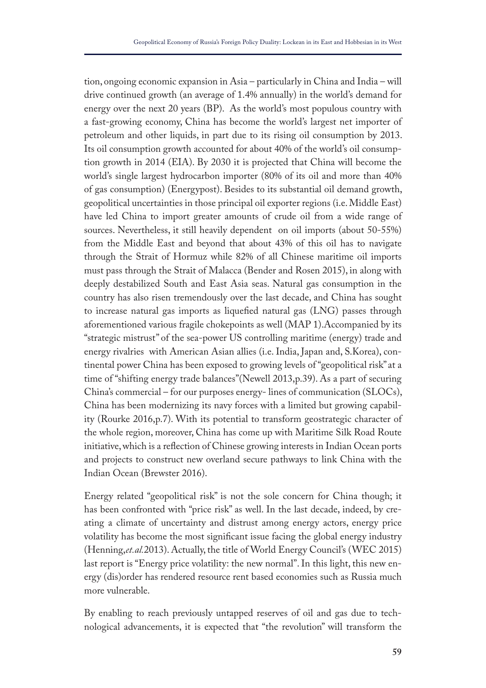tion, ongoing economic expansion in Asia – particularly in China and India – will drive continued growth (an average of 1.4% annually) in the world's demand for energy over the next 20 years (BP). As the world's most populous country with a fast-growing economy, China has become the world's largest net importer of petroleum and other liquids, in part due to its rising oil consumption by 2013. Its oil consumption growth accounted for about 40% of the world's oil consumption growth in 2014 (EIA). By 2030 it is projected that China will become the world's single largest hydrocarbon importer (80% of its oil and more than 40% of gas consumption) (Energypost). Besides to its substantial oil demand growth, geopolitical uncertainties in those principal oil exporter regions (i.e. Middle East) have led China to import greater amounts of crude oil from a wide range of sources. Nevertheless, it still heavily dependent on oil imports (about 50-55%) from the Middle East and beyond that about 43% of this oil has to navigate through the Strait of Hormuz while 82% of all Chinese maritime oil imports must pass through the Strait of Malacca (Bender and Rosen 2015), in along with deeply destabilized South and East Asia seas. Natural gas consumption in the country has also risen tremendously over the last decade, and China has sought to increase natural gas imports as liquefed natural gas (LNG) passes through aforementioned various fragile chokepoints as well (MAP 1).Accompanied by its "strategic mistrust" of the sea-power US controlling maritime (energy) trade and energy rivalries with American Asian allies (i.e. India, Japan and, S.Korea), continental power China has been exposed to growing levels of "geopolitical risk" at a time of "shifting energy trade balances"(Newell 2013,p.39). As a part of securing China's commercial – for our purposes energy- lines of communication (SLOCs), China has been modernizing its navy forces with a limited but growing capability (Rourke 2016,p.7). With its potential to transform geostrategic character of the whole region, moreover, China has come up with Maritime Silk Road Route initiative, which is a refection of Chinese growing interests in Indian Ocean ports and projects to construct new overland secure pathways to link China with the Indian Ocean (Brewster 2016).

Energy related "geopolitical risk" is not the sole concern for China though; it has been confronted with "price risk" as well. In the last decade, indeed, by creating a climate of uncertainty and distrust among energy actors, energy price volatility has become the most signifcant issue facing the global energy industry (Henning,*et.al.*2013). Actually, the title of World Energy Council's (WEC 2015) last report is "Energy price volatility: the new normal". In this light, this new energy (dis)order has rendered resource rent based economies such as Russia much more vulnerable.

By enabling to reach previously untapped reserves of oil and gas due to technological advancements, it is expected that "the revolution" will transform the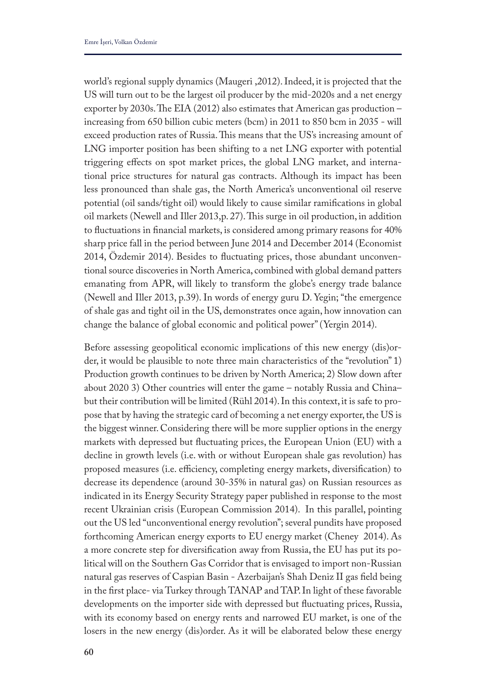world's regional supply dynamics (Maugeri ,2012). Indeed, it is projected that the US will turn out to be the largest oil producer by the mid-2020s and a net energy exporter by 2030s. The EIA (2012) also estimates that American gas production  $$ increasing from 650 billion cubic meters (bcm) in 2011 to 850 bcm in 2035 - will exceed production rates of Russia. This means that the US's increasing amount of LNG importer position has been shifting to a net LNG exporter with potential triggering efects on spot market prices, the global LNG market, and international price structures for natural gas contracts. Although its impact has been less pronounced than shale gas, the North America's unconventional oil reserve potential (oil sands/tight oil) would likely to cause similar ramifcations in global oil markets (Newell and Iller 2013, p. 27). This surge in oil production, in addition to fuctuations in fnancial markets, is considered among primary reasons for 40% sharp price fall in the period between June 2014 and December 2014 (Economist 2014, Özdemir 2014). Besides to fuctuating prices, those abundant unconventional source discoveries in North America, combined with global demand patters emanating from APR, will likely to transform the globe's energy trade balance (Newell and Iller 2013, p.39). In words of energy guru D. Yegin; "the emergence of shale gas and tight oil in the US, demonstrates once again, how innovation can change the balance of global economic and political power" (Yergin 2014).

Before assessing geopolitical economic implications of this new energy (dis)order, it would be plausible to note three main characteristics of the "revolution" 1) Production growth continues to be driven by North America; 2) Slow down after about 2020 3) Other countries will enter the game – notably Russia and China– but their contribution will be limited (Rühl 2014). In this context, it is safe to propose that by having the strategic card of becoming a net energy exporter, the US is the biggest winner. Considering there will be more supplier options in the energy markets with depressed but fuctuating prices, the European Union (EU) with a decline in growth levels (i.e. with or without European shale gas revolution) has proposed measures (i.e. efficiency, completing energy markets, diversification) to decrease its dependence (around 30-35% in natural gas) on Russian resources as indicated in its Energy Security Strategy paper published in response to the most recent Ukrainian crisis (European Commission 2014). In this parallel, pointing out the US led "unconventional energy revolution"; several pundits have proposed forthcoming American energy exports to EU energy market (Cheney 2014). As a more concrete step for diversifcation away from Russia, the EU has put its political will on the Southern Gas Corridor that is envisaged to import non-Russian natural gas reserves of Caspian Basin - Azerbaijan's Shah Deniz II gas feld being in the frst place- via Turkey through TANAP and TAP. In light of these favorable developments on the importer side with depressed but fuctuating prices, Russia, with its economy based on energy rents and narrowed EU market, is one of the losers in the new energy (dis)order. As it will be elaborated below these energy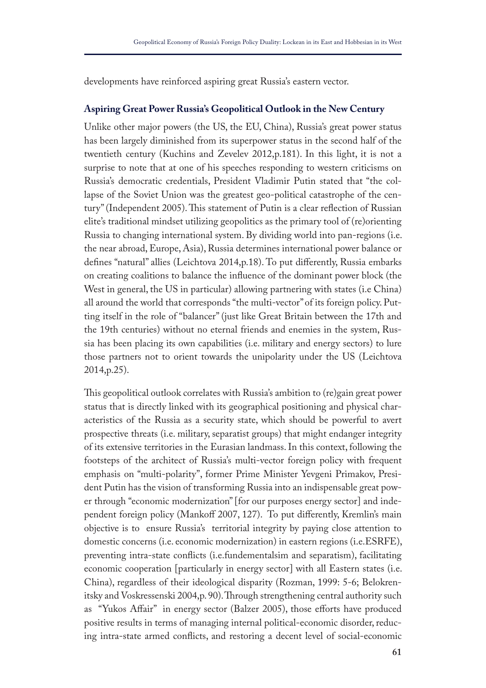developments have reinforced aspiring great Russia's eastern vector.

#### **Aspiring Great Power Russia's Geopolitical Outlook in the New Century**

Unlike other major powers (the US, the EU, China), Russia's great power status has been largely diminished from its superpower status in the second half of the twentieth century (Kuchins and Zevelev 2012,p.181). In this light, it is not a surprise to note that at one of his speeches responding to western criticisms on Russia's democratic credentials, President Vladimir Putin stated that "the collapse of the Soviet Union was the greatest geo-political catastrophe of the century" (Independent 2005). This statement of Putin is a clear reflection of Russian elite's traditional mindset utilizing geopolitics as the primary tool of (re)orienting Russia to changing international system. By dividing world into pan-regions (i.e. the near abroad, Europe, Asia), Russia determines international power balance or defnes "natural" allies (Leichtova 2014,p.18). To put diferently, Russia embarks on creating coalitions to balance the infuence of the dominant power block (the West in general, the US in particular) allowing partnering with states (i.e China) all around the world that corresponds "the multi-vector" of its foreign policy. Putting itself in the role of "balancer" (just like Great Britain between the 17th and the 19th centuries) without no eternal friends and enemies in the system, Russia has been placing its own capabilities (i.e. military and energy sectors) to lure those partners not to orient towards the unipolarity under the US (Leichtova 2014,p.25).

This geopolitical outlook correlates with Russia's ambition to (re)gain great power status that is directly linked with its geographical positioning and physical characteristics of the Russia as a security state, which should be powerful to avert prospective threats (i.e. military, separatist groups) that might endanger integrity of its extensive territories in the Eurasian landmass. In this context, following the footsteps of the architect of Russia's multi-vector foreign policy with frequent emphasis on "multi-polarity", former Prime Minister Yevgeni Primakov, President Putin has the vision of transforming Russia into an indispensable great power through "economic modernization" [for our purposes energy sector] and independent foreign policy (Mankoff 2007, 127). To put differently, Kremlin's main objective is to ensure Russia's territorial integrity by paying close attention to domestic concerns (i.e. economic modernization) in eastern regions (i.e.ESRFE), preventing intra-state conficts (i.e.fundementalsim and separatism), facilitating economic cooperation [particularly in energy sector] with all Eastern states (i.e. China), regardless of their ideological disparity (Rozman, 1999: 5-6; Belokrenitsky and Voskressenski 2004,p. 90). Through strengthening central authority such as "Yukos Afair" in energy sector (Balzer 2005), those eforts have produced positive results in terms of managing internal political-economic disorder, reducing intra-state armed conficts, and restoring a decent level of social-economic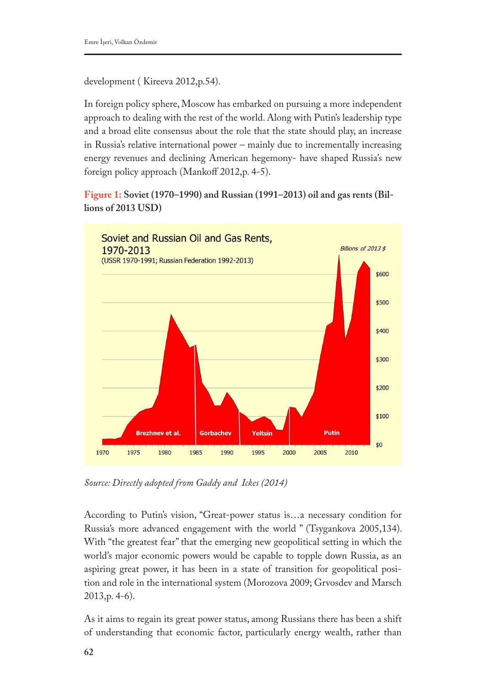development ( Kireeva 2012,p.54).

In foreign policy sphere, Moscow has embarked on pursuing a more independent approach to dealing with the rest of the world. Along with Putin's leadership type and a broad elite consensus about the role that the state should play, an increase in Russia's relative international power – mainly due to incrementally increasing energy revenues and declining American hegemony- have shaped Russia's new foreign policy approach (Mankoff 2012, p. 4-5).

**Figure 1: Soviet (1970–1990) and Russian (1991–2013) oil and gas rents (Billions of 2013 USD)**



*Source: Directly adopted from Gaddy and Ickes (2014)*

According to Putin's vision, "Great-power status is…a necessary condition for Russia's more advanced engagement with the world " (Tsygankova 2005,134). With "the greatest fear" that the emerging new geopolitical setting in which the world's major economic powers would be capable to topple down Russia, as an aspiring great power, it has been in a state of transition for geopolitical position and role in the international system (Morozova 2009; Grvosdev and Marsch 2013,p. 4-6).

As it aims to regain its great power status, among Russians there has been a shift of understanding that economic factor, particularly energy wealth, rather than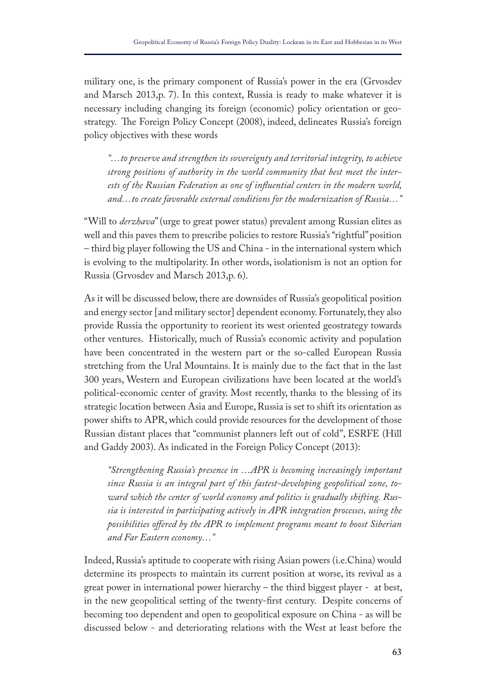military one, is the primary component of Russia's power in the era (Grvosdev and Marsch 2013,p. 7). In this context, Russia is ready to make whatever it is necessary including changing its foreign (economic) policy orientation or geostrategy. The Foreign Policy Concept (2008), indeed, delineates Russia's foreign policy objectives with these words

*"…to preserve and strengthen its sovereignty and territorial integrity, to achieve strong positions of authority in the world community that best meet the interests of the Russian Federation as one of infuential centers in the modern world, and…to create favorable external conditions for the modernization of Russia…"* 

"Will to *derzhava*" (urge to great power status) prevalent among Russian elites as well and this paves them to prescribe policies to restore Russia's "rightful" position – third big player following the US and China - in the international system which is evolving to the multipolarity. In other words, isolationism is not an option for Russia (Grvosdev and Marsch 2013,p. 6).

As it will be discussed below, there are downsides of Russia's geopolitical position and energy sector [and military sector] dependent economy. Fortunately, they also provide Russia the opportunity to reorient its west oriented geostrategy towards other ventures. Historically, much of Russia's economic activity and population have been concentrated in the western part or the so-called European Russia stretching from the Ural Mountains. It is mainly due to the fact that in the last 300 years, Western and European civilizations have been located at the world's political-economic center of gravity. Most recently, thanks to the blessing of its strategic location between Asia and Europe, Russia is set to shift its orientation as power shifts to APR, which could provide resources for the development of those Russian distant places that "communist planners left out of cold", ESRFE (Hill and Gaddy 2003). As indicated in the Foreign Policy Concept (2013):

*"Strengthening Russia's presence in …APR is becoming increasingly important since Russia is an integral part of this fastest-developing geopolitical zone, toward which the center of world economy and politics is gradually shifting. Russia is interested in participating actively in APR integration processes, using the possibilities ofered by the APR to implement programs meant to boost Siberian and Far Eastern economy…"*

Indeed, Russia's aptitude to cooperate with rising Asian powers (i.e.China) would determine its prospects to maintain its current position at worse, its revival as a great power in international power hierarchy – the third biggest player - at best, in the new geopolitical setting of the twenty-frst century. Despite concerns of becoming too dependent and open to geopolitical exposure on China - as will be discussed below - and deteriorating relations with the West at least before the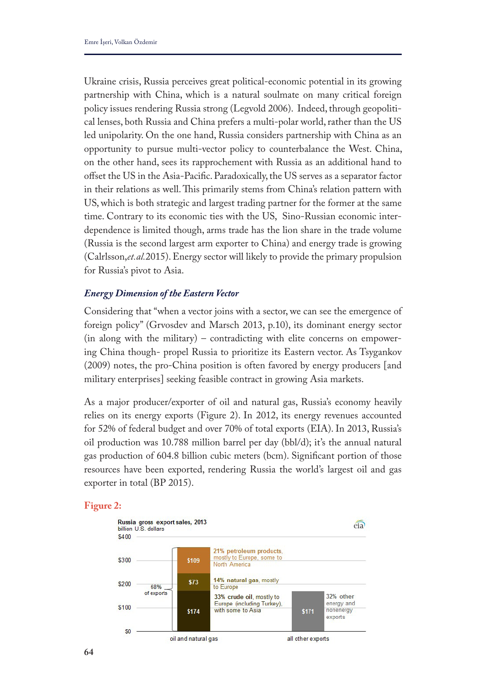Ukraine crisis, Russia perceives great political-economic potential in its growing partnership with China, which is a natural soulmate on many critical foreign policy issues rendering Russia strong (Legvold 2006). Indeed, through geopolitical lenses, both Russia and China prefers a multi-polar world, rather than the US led unipolarity. On the one hand, Russia considers partnership with China as an opportunity to pursue multi-vector policy to counterbalance the West. China, on the other hand, sees its rapprochement with Russia as an additional hand to ofset the US in the Asia-Pacifc. Paradoxically, the US serves as a separator factor in their relations as well. This primarily stems from China's relation pattern with US, which is both strategic and largest trading partner for the former at the same time. Contrary to its economic ties with the US, Sino-Russian economic interdependence is limited though, arms trade has the lion share in the trade volume (Russia is the second largest arm exporter to China) and energy trade is growing (Calrlsson,*et.al.*2015). Energy sector will likely to provide the primary propulsion for Russia's pivot to Asia.

#### *Energy Dimension of the Eastern Vector*

Considering that "when a vector joins with a sector, we can see the emergence of foreign policy" (Grvosdev and Marsch 2013, p.10), its dominant energy sector (in along with the military) – contradicting with elite concerns on empowering China though- propel Russia to prioritize its Eastern vector. As Tsygankov (2009) notes, the pro-China position is often favored by energy producers [and military enterprises] seeking feasible contract in growing Asia markets.

As a major producer/exporter of oil and natural gas, Russia's economy heavily relies on its energy exports (Figure 2). In 2012, its energy revenues accounted for 52% of federal budget and over 70% of total exports (EIA). In 2013, Russia's oil production was 10.788 million barrel per day (bbl/d); it's the annual natural gas production of 604.8 billion cubic meters (bcm). Signifcant portion of those resources have been exported, rendering Russia the world's largest oil and gas exporter in total (BP 2015).

#### **Figure 2:**

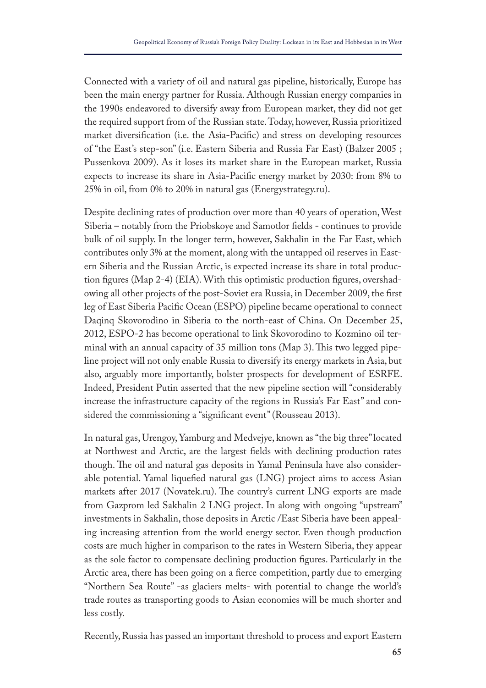Connected with a variety of oil and natural gas pipeline, historically, Europe has been the main energy partner for Russia. Although Russian energy companies in the 1990s endeavored to diversify away from European market, they did not get the required support from of the Russian state. Today, however, Russia prioritized market diversifcation (i.e. the Asia-Pacifc) and stress on developing resources of "the East's step-son" (i.e. Eastern Siberia and Russia Far East) (Balzer 2005 ; Pussenkova 2009). As it loses its market share in the European market, Russia expects to increase its share in Asia-Pacifc energy market by 2030: from 8% to 25% in oil, from 0% to 20% in natural gas (Energystrategy.ru).

Despite declining rates of production over more than 40 years of operation, West Siberia – notably from the Priobskoye and Samotlor felds - continues to provide bulk of oil supply. In the longer term, however, Sakhalin in the Far East, which contributes only 3% at the moment, along with the untapped oil reserves in Eastern Siberia and the Russian Arctic, is expected increase its share in total production fgures (Map 2-4) (EIA). With this optimistic production fgures, overshadowing all other projects of the post-Soviet era Russia, in December 2009, the frst leg of East Siberia Pacifc Ocean (ESPO) pipeline became operational to connect Daqinq Skovorodino in Siberia to the north-east of China. On December 25, 2012, ESPO-2 has become operational to link Skovorodino to Kozmino oil terminal with an annual capacity of 35 million tons (Map 3). This two legged pipeline project will not only enable Russia to diversify its energy markets in Asia, but also, arguably more importantly, bolster prospects for development of ESRFE. Indeed, President Putin asserted that the new pipeline section will "considerably increase the infrastructure capacity of the regions in Russia's Far East" and considered the commissioning a "signifcant event" (Rousseau 2013).

In natural gas, Urengoy, Yamburg and Medvejye, known as "the big three" located at Northwest and Arctic, are the largest felds with declining production rates though. The oil and natural gas deposits in Yamal Peninsula have also considerable potential. Yamal liquefed natural gas (LNG) project aims to access Asian markets after 2017 (Novatek.ru). The country's current LNG exports are made from Gazprom led Sakhalin 2 LNG project. In along with ongoing "upstream" investments in Sakhalin, those deposits in Arctic /East Siberia have been appealing increasing attention from the world energy sector. Even though production costs are much higher in comparison to the rates in Western Siberia, they appear as the sole factor to compensate declining production fgures. Particularly in the Arctic area, there has been going on a ferce competition, partly due to emerging "Northern Sea Route" -as glaciers melts- with potential to change the world's trade routes as transporting goods to Asian economies will be much shorter and less costly.

Recently, Russia has passed an important threshold to process and export Eastern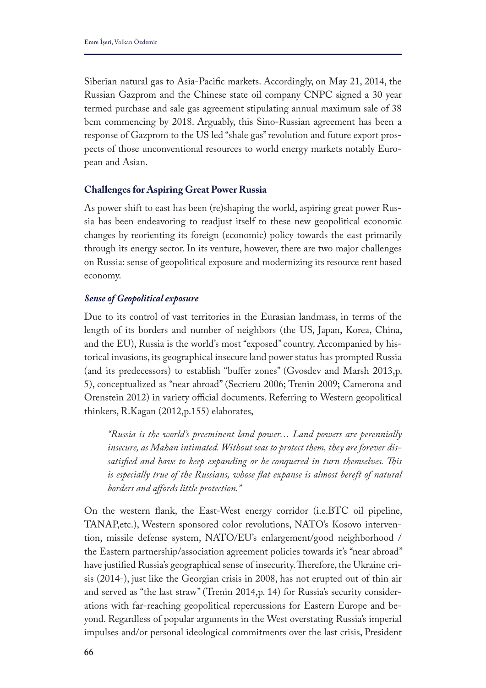Siberian natural gas to Asia-Pacifc markets. Accordingly, on May 21, 2014, the Russian Gazprom and the Chinese state oil company CNPC signed a 30 year termed purchase and sale gas agreement stipulating annual maximum sale of 38 bcm commencing by 2018. Arguably, this Sino-Russian agreement has been a response of Gazprom to the US led "shale gas" revolution and future export prospects of those unconventional resources to world energy markets notably European and Asian.

#### **Challenges for Aspiring Great Power Russia**

As power shift to east has been (re)shaping the world, aspiring great power Russia has been endeavoring to readjust itself to these new geopolitical economic changes by reorienting its foreign (economic) policy towards the east primarily through its energy sector. In its venture, however, there are two major challenges on Russia: sense of geopolitical exposure and modernizing its resource rent based economy.

#### *Sense of Geopolitical exposure*

Due to its control of vast territories in the Eurasian landmass, in terms of the length of its borders and number of neighbors (the US, Japan, Korea, China, and the EU), Russia is the world's most "exposed" country. Accompanied by historical invasions, its geographical insecure land power status has prompted Russia (and its predecessors) to establish "bufer zones" (Gvosdev and Marsh 2013,p. 5), conceptualized as "near abroad" (Secrieru 2006; Trenin 2009; Camerona and Orenstein 2012) in variety official documents. Referring to Western geopolitical thinkers, R.Kagan (2012,p.155) elaborates,

*"Russia is the world's preeminent land power… Land powers are perennially insecure, as Mahan intimated. Without seas to protect them, they are forever dissatisfed and have to keep expanding or be conquered in turn themselves. Tis is especially true of the Russians, whose fat expanse is almost bereft of natural borders and afords little protection."*

On the western fank, the East-West energy corridor (i.e.BTC oil pipeline, TANAP,etc.), Western sponsored color revolutions, NATO's Kosovo intervention, missile defense system, NATO/EU's enlargement/good neighborhood / the Eastern partnership/association agreement policies towards it's "near abroad" have justified Russia's geographical sense of insecurity. Therefore, the Ukraine crisis (2014-), just like the Georgian crisis in 2008, has not erupted out of thin air and served as "the last straw" (Trenin 2014,p. 14) for Russia's security considerations with far-reaching geopolitical repercussions for Eastern Europe and beyond. Regardless of popular arguments in the West overstating Russia's imperial impulses and/or personal ideological commitments over the last crisis, President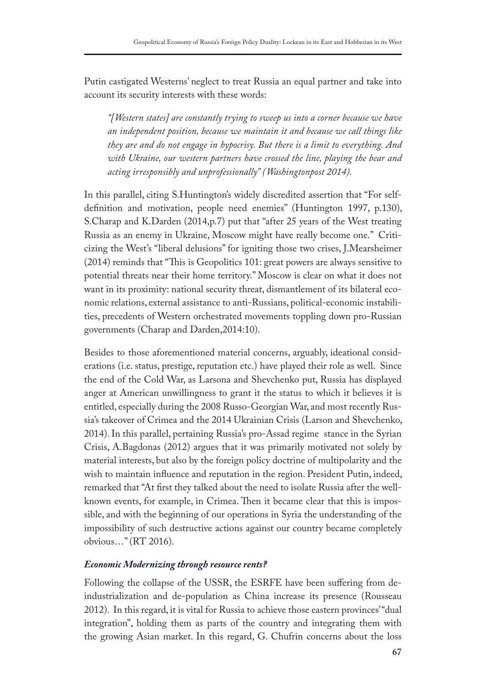Putin castigated Westerns' neglect to treat Russia an equal partner and take into account its security interests with these words:

*"[Western states] are constantly trying to sweep us into a corner because we have an independent position, because we maintain it and because we call things like they are and do not engage in hypocrisy. But there is a limit to everything. And with Ukraine, our western partners have crossed the line, playing the bear and acting irresponsibly and unprofessionally" (Washingtonpost 2014).* 

In this parallel, citing S.Huntington's widely discredited assertion that "For selfdefnition and motivation, people need enemies" (Huntington 1997, p.130), S.Charap and K.Darden (2014,p.7) put that "after 25 years of the West treating Russia as an enemy in Ukraine, Moscow might have really become one." Criticizing the West's "liberal delusions" for igniting those two crises, J.Mearsheimer (2014) reminds that "This is Geopolitics 101: great powers are always sensitive to potential threats near their home territory." Moscow is clear on what it does not want in its proximity: national security threat, dismantlement of its bilateral economic relations, external assistance to anti-Russians, political-economic instabilities, precedents of Western orchestrated movements toppling down pro-Russian governments (Charap and Darden,2014:10).

Besides to those aforementioned material concerns, arguably, ideational considerations (i.e. status, prestige, reputation etc.) have played their role as well. Since the end of the Cold War, as Larsona and Shevchenko put, Russia has displayed anger at American unwillingness to grant it the status to which it believes it is entitled, especially during the 2008 Russo-Georgian War, and most recently Russia's takeover of Crimea and the 2014 Ukrainian Crisis (Larson and Shevchenko, 2014). In this parallel, pertaining Russia's pro-Assad regime stance in the Syrian Crisis, A.Bagdonas (2012) argues that it was primarily motivated not solely by material interests, but also by the foreign policy doctrine of multipolarity and the wish to maintain infuence and reputation in the region. President Putin, indeed, remarked that "At frst they talked about the need to isolate Russia after the wellknown events, for example, in Crimea. Then it became clear that this is impossible, and with the beginning of our operations in Syria the understanding of the impossibility of such destructive actions against our country became completely obvious…" (RT 2016).

#### *Economic Modernizing through resource rents?*

Following the collapse of the USSR, the ESRFE have been sufering from deindustrialization and de-population as China increase its presence (Rousseau 2012). In this regard, it is vital for Russia to achieve those eastern provinces' "dual integration", holding them as parts of the country and integrating them with the growing Asian market. In this regard, G. Chufrin concerns about the loss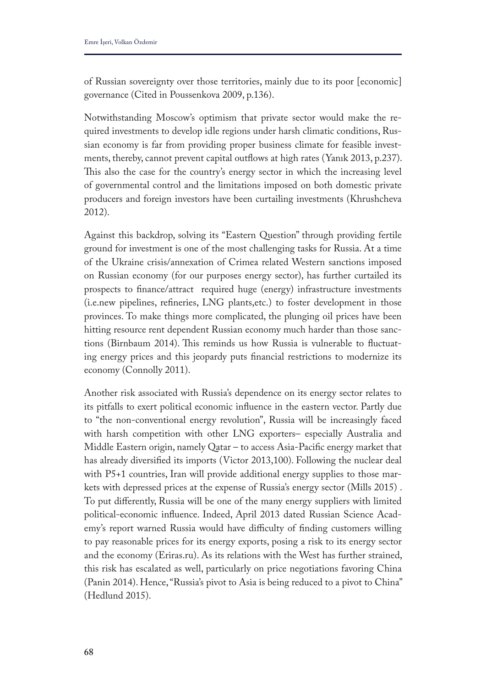of Russian sovereignty over those territories, mainly due to its poor [economic] governance (Cited in Poussenkova 2009, p.136).

Notwithstanding Moscow's optimism that private sector would make the required investments to develop idle regions under harsh climatic conditions, Russian economy is far from providing proper business climate for feasible investments, thereby, cannot prevent capital outflows at high rates (Yanık 2013, p.237). This also the case for the country's energy sector in which the increasing level of governmental control and the limitations imposed on both domestic private producers and foreign investors have been curtailing investments (Khrushcheva 2012).

Against this backdrop, solving its "Eastern Question" through providing fertile ground for investment is one of the most challenging tasks for Russia. At a time of the Ukraine crisis/annexation of Crimea related Western sanctions imposed on Russian economy (for our purposes energy sector), has further curtailed its prospects to fnance/attract required huge (energy) infrastructure investments (i.e.new pipelines, refneries, LNG plants,etc.) to foster development in those provinces. To make things more complicated, the plunging oil prices have been hitting resource rent dependent Russian economy much harder than those sanctions (Birnbaum 2014). Tis reminds us how Russia is vulnerable to fuctuating energy prices and this jeopardy puts fnancial restrictions to modernize its economy (Connolly 2011).

Another risk associated with Russia's dependence on its energy sector relates to its pitfalls to exert political economic infuence in the eastern vector. Partly due to "the non-conventional energy revolution", Russia will be increasingly faced with harsh competition with other LNG exporters– especially Australia and Middle Eastern origin, namely Qatar – to access Asia-Pacifc energy market that has already diversifed its imports (Victor 2013,100). Following the nuclear deal with P5+1 countries, Iran will provide additional energy supplies to those markets with depressed prices at the expense of Russia's energy sector (Mills 2015) . To put diferently, Russia will be one of the many energy suppliers with limited political-economic infuence. Indeed, April 2013 dated Russian Science Academy's report warned Russia would have difficulty of finding customers willing to pay reasonable prices for its energy exports, posing a risk to its energy sector and the economy (Eriras.ru). As its relations with the West has further strained, this risk has escalated as well, particularly on price negotiations favoring China (Panin 2014). Hence, "Russia's pivot to Asia is being reduced to a pivot to China" (Hedlund 2015).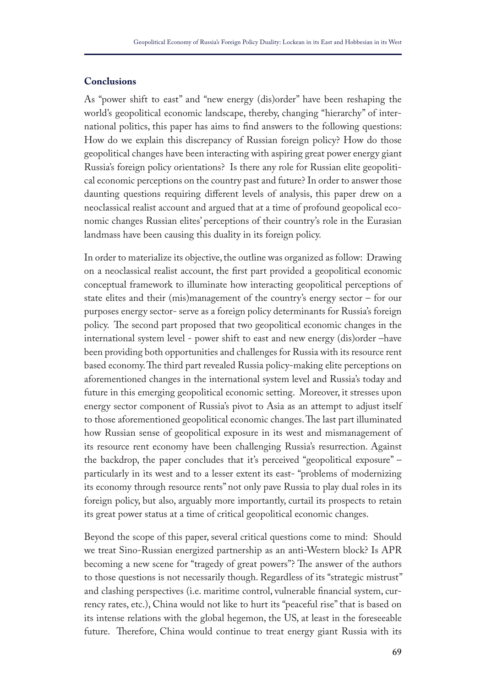#### **Conclusions**

As "power shift to east" and "new energy (dis)order" have been reshaping the world's geopolitical economic landscape, thereby, changing "hierarchy" of international politics, this paper has aims to fnd answers to the following questions: How do we explain this discrepancy of Russian foreign policy? How do those geopolitical changes have been interacting with aspiring great power energy giant Russia's foreign policy orientations? Is there any role for Russian elite geopolitical economic perceptions on the country past and future? In order to answer those daunting questions requiring diferent levels of analysis, this paper drew on a neoclassical realist account and argued that at a time of profound geopolical economic changes Russian elites' perceptions of their country's role in the Eurasian landmass have been causing this duality in its foreign policy.

In order to materialize its objective, the outline was organized as follow: Drawing on a neoclassical realist account, the frst part provided a geopolitical economic conceptual framework to illuminate how interacting geopolitical perceptions of state elites and their (mis)management of the country's energy sector – for our purposes energy sector- serve as a foreign policy determinants for Russia's foreign policy. The second part proposed that two geopolitical economic changes in the international system level - power shift to east and new energy (dis)order –have been providing both opportunities and challenges for Russia with its resource rent based economy. The third part revealed Russia policy-making elite perceptions on aforementioned changes in the international system level and Russia's today and future in this emerging geopolitical economic setting. Moreover, it stresses upon energy sector component of Russia's pivot to Asia as an attempt to adjust itself to those aforementioned geopolitical economic changes. The last part illuminated how Russian sense of geopolitical exposure in its west and mismanagement of its resource rent economy have been challenging Russia's resurrection. Against the backdrop, the paper concludes that it's perceived "geopolitical exposure" – particularly in its west and to a lesser extent its east- "problems of modernizing its economy through resource rents" not only pave Russia to play dual roles in its foreign policy, but also, arguably more importantly, curtail its prospects to retain its great power status at a time of critical geopolitical economic changes.

Beyond the scope of this paper, several critical questions come to mind: Should we treat Sino-Russian energized partnership as an anti-Western block? Is APR becoming a new scene for "tragedy of great powers"? The answer of the authors to those questions is not necessarily though. Regardless of its "strategic mistrust" and clashing perspectives (i.e. maritime control, vulnerable fnancial system, currency rates, etc.), China would not like to hurt its "peaceful rise" that is based on its intense relations with the global hegemon, the US, at least in the foreseeable future. Therefore, China would continue to treat energy giant Russia with its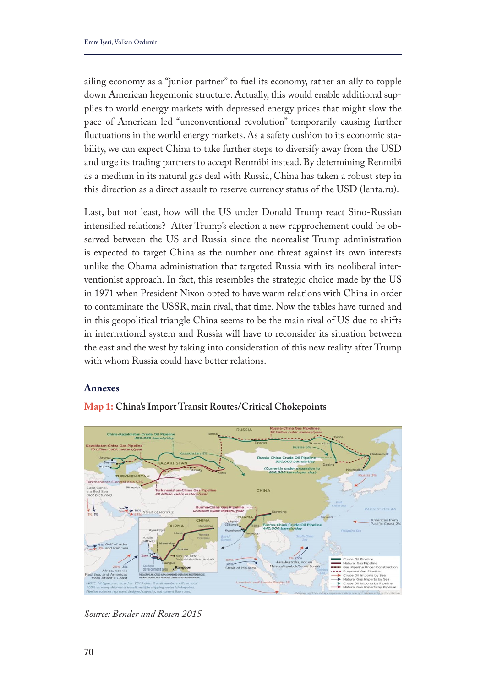ailing economy as a "junior partner" to fuel its economy, rather an ally to topple down American hegemonic structure. Actually, this would enable additional supplies to world energy markets with depressed energy prices that might slow the pace of American led "unconventional revolution" temporarily causing further fuctuations in the world energy markets. As a safety cushion to its economic stability, we can expect China to take further steps to diversify away from the USD and urge its trading partners to accept Renmibi instead. By determining Renmibi as a medium in its natural gas deal with Russia, China has taken a robust step in this direction as a direct assault to reserve currency status of the USD (lenta.ru).

Last, but not least, how will the US under Donald Trump react Sino-Russian intensifed relations? After Trump's election a new rapprochement could be observed between the US and Russia since the neorealist Trump administration is expected to target China as the number one threat against its own interests unlike the Obama administration that targeted Russia with its neoliberal interventionist approach. In fact, this resembles the strategic choice made by the US in 1971 when President Nixon opted to have warm relations with China in order to contaminate the USSR, main rival, that time. Now the tables have turned and in this geopolitical triangle China seems to be the main rival of US due to shifts in international system and Russia will have to reconsider its situation between the east and the west by taking into consideration of this new reality after Trump with whom Russia could have better relations.

#### **Annexes**



# **Map 1: China's Import Transit Routes/Critical Chokepoints**

*Source: Bender and Rosen 2015*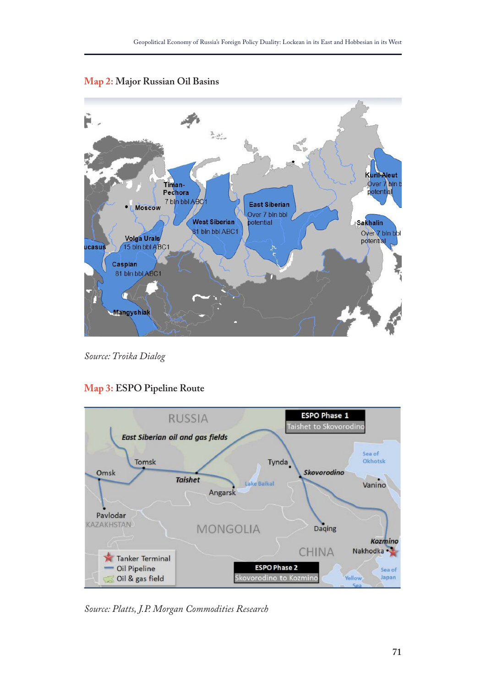

# **Map 2: Major Russian Oil Basins**

*Source: Troika Dialog*

# **Map 3: ESPO Pipeline Route**



*Source: Platts, J.P. Morgan Commodities Research*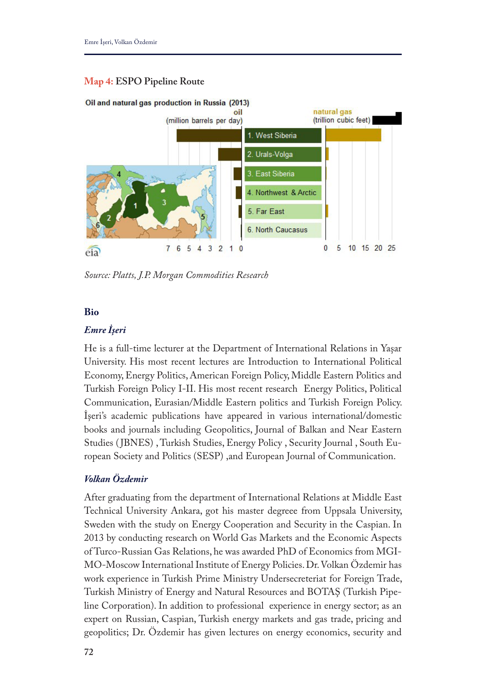## **Map 4: ESPO Pipeline Route**



*Source: Platts, J.P. Morgan Commodities Research*

#### **Bio**

### *Emre İşeri*

He is a full-time lecturer at the Department of International Relations in Yaşar University. His most recent lectures are Introduction to International Political Economy, Energy Politics, American Foreign Policy, Middle Eastern Politics and Turkish Foreign Policy I-II. His most recent research Energy Politics, Political Communication, Eurasian/Middle Eastern politics and Turkish Foreign Policy. İşeri's academic publications have appeared in various international/domestic books and journals including Geopolitics, Journal of Balkan and Near Eastern Studies ( JBNES) , Turkish Studies, Energy Policy , Security Journal , South European Society and Politics (SESP) ,and European Journal of Communication.

#### *Volkan Özdemir*

After graduating from the department of International Relations at Middle East Technical University Ankara, got his master degreee from Uppsala University, Sweden with the study on Energy Cooperation and Security in the Caspian. In 2013 by conducting research on World Gas Markets and the Economic Aspects of Turco-Russian Gas Relations, he was awarded PhD of Economics from MGI-MO-Moscow International Institute of Energy Policies. Dr. Volkan Özdemir has work experience in Turkish Prime Ministry Undersecreteriat for Foreign Trade, Turkish Ministry of Energy and Natural Resources and BOTAŞ (Turkish Pipeline Corporation). In addition to professional experience in energy sector; as an expert on Russian, Caspian, Turkish energy markets and gas trade, pricing and geopolitics; Dr. Özdemir has given lectures on energy economics, security and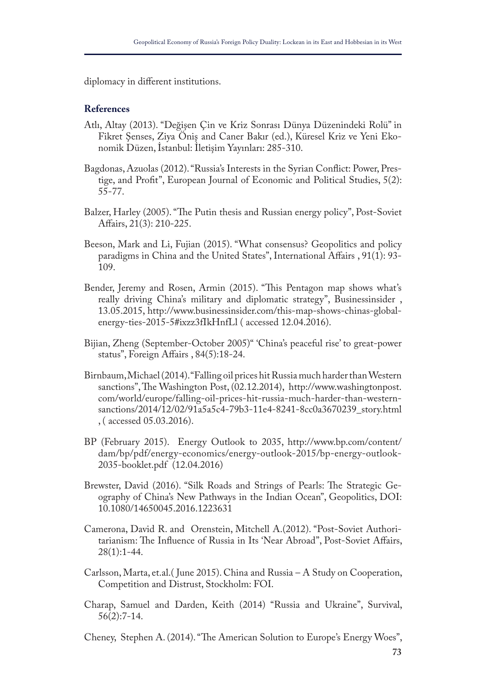diplomacy in diferent institutions.

#### **References**

- Atlı, Altay (2013). "Değişen Çin ve Kriz Sonrası Dünya Düzenindeki Rolü" in Fikret Şenses, Ziya Öniş and Caner Bakır (ed.), Küresel Kriz ve Yeni Ekonomik Düzen, İstanbul: İletişim Yayınları: 285-310.
- Bagdonas, Azuolas (2012). "Russia's Interests in the Syrian Confict: Power, Prestige, and Proft", European Journal of Economic and Political Studies, 5(2): 55-77.
- Balzer, Harley (2005). "The Putin thesis and Russian energy policy", Post-Soviet Afairs, 21(3): 210-225.
- Beeson, Mark and Li, Fujian (2015). "What consensus? Geopolitics and policy paradigms in China and the United States", International Afairs , 91(1): 93- 109.
- Bender, Jeremy and Rosen, Armin (2015). "This Pentagon map shows what's really driving China's military and diplomatic strategy", Businessinsider , 13.05.2015, http://www.businessinsider.com/this-map-shows-chinas-globalenergy-ties-2015-5#ixzz3fIkHnfLl ( accessed 12.04.2016).
- Bijian, Zheng (September-October 2005)" 'China's peaceful rise' to great-power status", Foreign Afairs , 84(5):18-24.
- Birnbaum, Michael (2014). "Falling oil prices hit Russia much harder than Western sanctions", The Washington Post, (02.12.2014), http://www.washingtonpost. com/world/europe/falling-oil-prices-hit-russia-much-harder-than-westernsanctions/2014/12/02/91a5a5c4-79b3-11e4-8241-8cc0a3670239\_story.html , ( accessed 05.03.2016).
- BP (February 2015). Energy Outlook to 2035, http://www.bp.com/content/ dam/bp/pdf/energy-economics/energy-outlook-2015/bp-energy-outlook-2035-booklet.pdf (12.04.2016)
- Brewster, David (2016). "Silk Roads and Strings of Pearls: The Strategic Geography of China's New Pathways in the Indian Ocean", Geopolitics, DOI: 10.1080/14650045.2016.1223631
- Camerona, David R. and Orenstein, Mitchell A.(2012). "Post-Soviet Authoritarianism: The Influence of Russia in Its 'Near Abroad", Post-Soviet Affairs,  $28(1):1-44.$
- Carlsson, Marta, et.al.( June 2015). China and Russia A Study on Cooperation, Competition and Distrust, Stockholm: FOI.
- Charap, Samuel and Darden, Keith (2014) "Russia and Ukraine", Survival, 56(2):7-14.
- Cheney, Stephen A. (2014). "The American Solution to Europe's Energy Woes",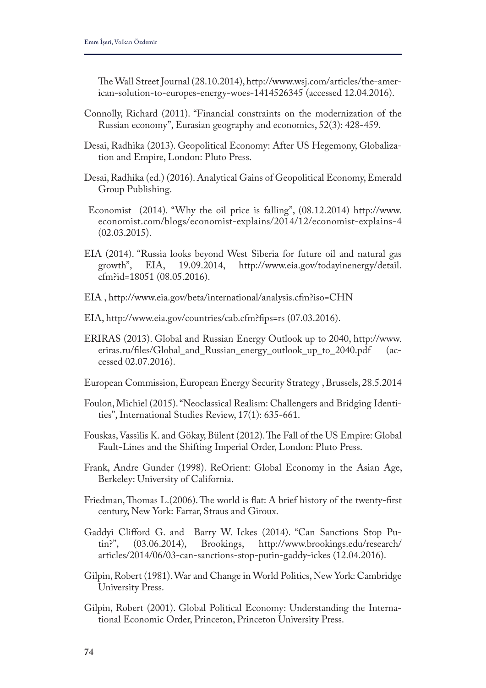The Wall Street Journal (28.10.2014), http://www.wsj.com/articles/the-american-solution-to-europes-energy-woes-1414526345 (accessed 12.04.2016).

- Connolly, Richard (2011). "Financial constraints on the modernization of the Russian economy", Eurasian geography and economics, 52(3): 428-459.
- Desai, Radhika (2013). Geopolitical Economy: After US Hegemony, Globalization and Empire, London: Pluto Press.
- Desai, Radhika (ed.) (2016). Analytical Gains of Geopolitical Economy, Emerald Group Publishing.
- Economist (2014). "Why the oil price is falling", (08.12.2014) http://www. economist.com/blogs/economist-explains/2014/12/economist-explains-4 (02.03.2015).
- EIA (2014). "Russia looks beyond West Siberia for future oil and natural gas growth", EIA, 19.09.2014, http://www.eia.gov/todayinenergy/detail. 19.09.2014, http://www.eia.gov/todayinenergy/detail. cfm?id=18051 (08.05.2016).
- EIA , http://www.eia.gov/beta/international/analysis.cfm?iso=CHN
- EIA, http://www.eia.gov/countries/cab.cfm?fps=rs (07.03.2016).
- ERIRAS (2013). Global and Russian Energy Outlook up to 2040, http://www. eriras.ru/fles/Global\_and\_Russian\_energy\_outlook\_up\_to\_2040.pdf (accessed 02.07.2016).
- European Commission, European Energy Security Strategy , Brussels, 28.5.2014
- Foulon, Michiel (2015). "Neoclassical Realism: Challengers and Bridging Identities", International Studies Review, 17(1): 635-661.
- Fouskas, Vassilis K. and Gökay, Bülent (2012). The Fall of the US Empire: Global Fault-Lines and the Shifting Imperial Order, London: Pluto Press.
- Frank, Andre Gunder (1998). ReOrient: Global Economy in the Asian Age, Berkeley: University of California.
- Friedman, Thomas L. (2006). The world is flat: A brief history of the twenty-first century, New York: Farrar, Straus and Giroux.
- Gaddyi Cliford G. and Barry W. Ickes (2014). "Can Sanctions Stop Putin?", (03.06.2014), Brookings, http://www.brookings.edu/research/ articles/2014/06/03-can-sanctions-stop-putin-gaddy-ickes (12.04.2016).
- Gilpin, Robert (1981). War and Change in World Politics, New York: Cambridge University Press.
- Gilpin, Robert (2001). Global Political Economy: Understanding the International Economic Order, Princeton, Princeton University Press.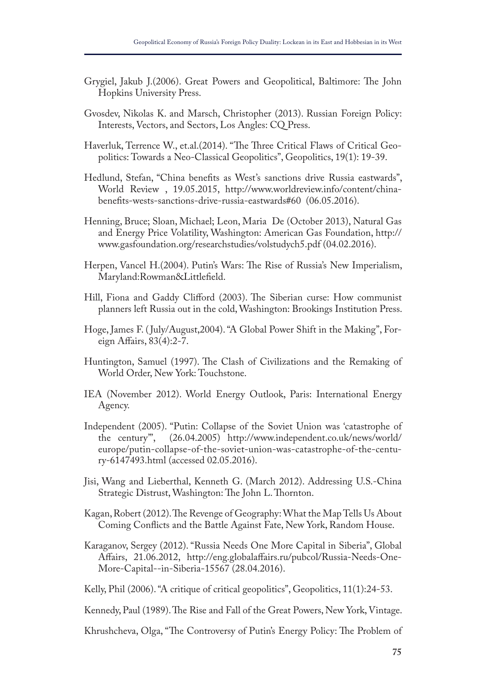- Grygiel, Jakub J.(2006). Great Powers and Geopolitical, Baltimore: The John Hopkins University Press.
- Gvosdev, Nikolas K. and Marsch, Christopher (2013). Russian Foreign Policy: Interests, Vectors, and Sectors, Los Angles: CQ Press.
- Haverluk, Terrence W., et.al.(2014). "The Three Critical Flaws of Critical Geopolitics: Towards a Neo-Classical Geopolitics", Geopolitics, 19(1): 19-39.
- Hedlund, Stefan, "China benefts as West's sanctions drive Russia eastwards", World Review , 19.05.2015, http://www.worldreview.info/content/chinabenefts-wests-sanctions-drive-russia-eastwards#60 (06.05.2016).
- Henning, Bruce; Sloan, Michael; Leon, Maria De (October 2013), Natural Gas and Energy Price Volatility, Washington: American Gas Foundation, http:// www.gasfoundation.org/researchstudies/volstudych5.pdf (04.02.2016).
- Herpen, Vancel H. (2004). Putin's Wars: The Rise of Russia's New Imperialism, Maryland:Rowman&Littlefeld.
- Hill, Fiona and Gaddy Clifford (2003). The Siberian curse: How communist planners left Russia out in the cold, Washington: Brookings Institution Press.
- Hoge, James F. ( July/August,2004). "A Global Power Shift in the Making", Foreign Afairs, 83(4):2-7.
- Huntington, Samuel (1997). The Clash of Civilizations and the Remaking of World Order, New York: Touchstone.
- IEA (November 2012). World Energy Outlook, Paris: International Energy Agency.
- Independent (2005). "Putin: Collapse of the Soviet Union was 'catastrophe of the century'", (26.04.2005) http://www.independent.co.uk/news/world/ europe/putin-collapse-of-the-soviet-union-was-catastrophe-of-the-century-6147493.html (accessed 02.05.2016).
- Jisi, Wang and Lieberthal, Kenneth G. (March 2012). Addressing U.S.-China Strategic Distrust, Washington: The John L. Thornton.
- Kagan, Robert (2012). The Revenge of Geography: What the Map Tells Us About Coming Conficts and the Battle Against Fate, New York, Random House.
- Karaganov, Sergey (2012). "Russia Needs One More Capital in Siberia", Global Afairs, 21.06.2012, http://eng.globalafairs.ru/pubcol/Russia-Needs-One-More-Capital--in-Siberia-15567 (28.04.2016).
- Kelly, Phil (2006). "A critique of critical geopolitics", Geopolitics, 11(1):24-53.

Kennedy, Paul (1989). The Rise and Fall of the Great Powers, New York, Vintage.

Khrushcheva, Olga, "The Controversy of Putin's Energy Policy: The Problem of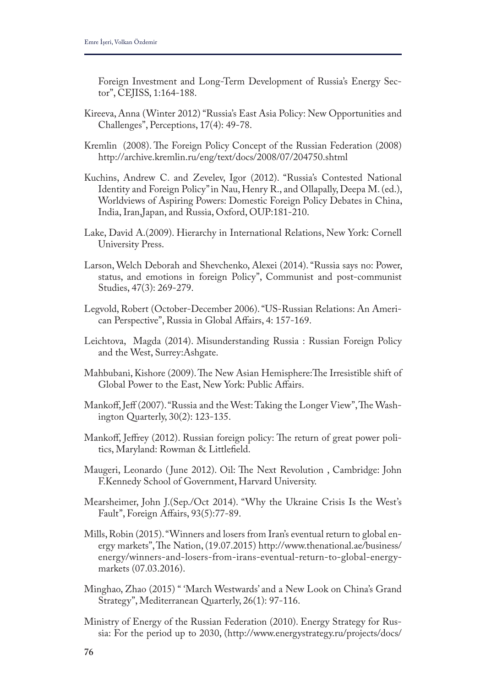Foreign Investment and Long-Term Development of Russia's Energy Sector", CEJISS, 1:164-188.

- Kireeva, Anna (Winter 2012) "Russia's East Asia Policy: New Opportunities and Challenges", Perceptions, 17(4): 49-78.
- Kremlin (2008). The Foreign Policy Concept of the Russian Federation (2008) http://archive.kremlin.ru/eng/text/docs/2008/07/204750.shtml
- Kuchins, Andrew C. and Zevelev, Igor (2012). "Russia's Contested National Identity and Foreign Policy" in Nau, Henry R., and Ollapally, Deepa M. (ed.), Worldviews of Aspiring Powers: Domestic Foreign Policy Debates in China, India, Iran,Japan, and Russia, Oxford, OUP:181-210.
- Lake, David A.(2009). Hierarchy in International Relations, New York: Cornell University Press.
- Larson, Welch Deborah and Shevchenko, Alexei (2014). "Russia says no: Power, status, and emotions in foreign Policy", Communist and post-communist Studies, 47(3): 269-279.
- Legvold, Robert (October-December 2006). "US-Russian Relations: An American Perspective", Russia in Global Afairs, 4: 157-169.
- Leichtova, Magda (2014). Misunderstanding Russia : Russian Foreign Policy and the West, Surrey:Ashgate.
- Mahbubani, Kishore (2009). The New Asian Hemisphere: The Irresistible shift of Global Power to the East, New York: Public Afairs.
- Mankoff, Jeff (2007). "Russia and the West: Taking the Longer View", The Washington Quarterly, 30(2): 123-135.
- Mankoff, Jeffrey (2012). Russian foreign policy: The return of great power politics, Maryland: Rowman & Littlefeld.
- Maugeri, Leonardo (June 2012). Oil: The Next Revolution, Cambridge: John F.Kennedy School of Government, Harvard University.
- Mearsheimer, John J.(Sep./Oct 2014). "Why the Ukraine Crisis Is the West's Fault", Foreign Afairs, 93(5):77-89.
- Mills, Robin (2015). "Winners and losers from Iran's eventual return to global energy markets", The Nation, (19.07.2015) http://www.thenational.ae/business/ energy/winners-and-losers-from-irans-eventual-return-to-global-energymarkets (07.03.2016).
- Minghao, Zhao (2015) " 'March Westwards' and a New Look on China's Grand Strategy", Mediterranean Quarterly, 26(1): 97-116.
- Ministry of Energy of the Russian Federation (2010). Energy Strategy for Russia: For the period up to 2030, (http://www.energystrategy.ru/projects/docs/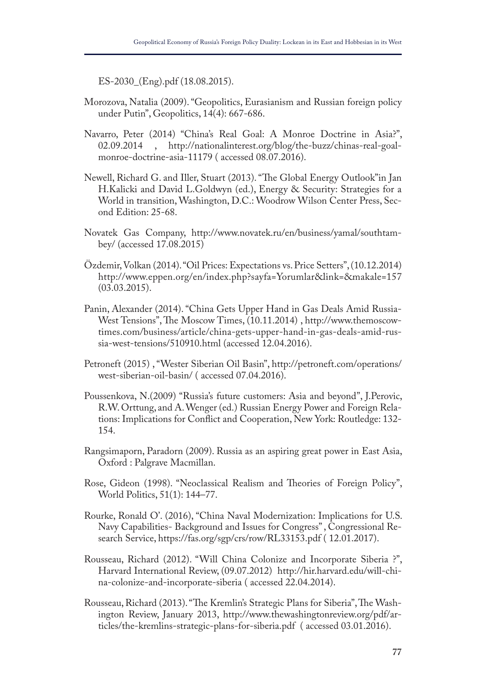ES-2030\_(Eng).pdf (18.08.2015).

- Morozova, Natalia (2009). "Geopolitics, Eurasianism and Russian foreign policy under Putin", Geopolitics, 14(4): 667-686.
- Navarro, Peter (2014) "China's Real Goal: A Monroe Doctrine in Asia?", 02.09.2014 , http://nationalinterest.org/blog/the-buzz/chinas-real-goalmonroe-doctrine-asia-11179 ( accessed 08.07.2016).
- Newell, Richard G. and Iller, Stuart (2013). "The Global Energy Outlook" in Jan H.Kalicki and David L.Goldwyn (ed.), Energy & Security: Strategies for a World in transition, Washington, D.C.: Woodrow Wilson Center Press, Second Edition: 25-68.
- Novatek Gas Company, http://www.novatek.ru/en/business/yamal/southtambey/ (accessed 17.08.2015)
- Özdemir, Volkan (2014). "Oil Prices: Expectations vs. Price Setters", (10.12.2014) http://www.eppen.org/en/index.php?sayfa=Yorumlar&link=&makale=157 (03.03.2015).
- Panin, Alexander (2014). "China Gets Upper Hand in Gas Deals Amid Russia-West Tensions", The Moscow Times, (10.11.2014), http://www.themoscowtimes.com/business/article/china-gets-upper-hand-in-gas-deals-amid-russia-west-tensions/510910.html (accessed 12.04.2016).
- Petroneft (2015), "Wester Siberian Oil Basin", http://petroneft.com/operations/ west-siberian-oil-basin/ ( accessed 07.04.2016).
- Poussenkova, N.(2009) "Russia's future customers: Asia and beyond", J.Perovic, R.W. Orttung, and A. Wenger (ed.) Russian Energy Power and Foreign Relations: Implications for Confict and Cooperation, New York: Routledge: 132- 154.
- Rangsimaporn, Paradorn (2009). Russia as an aspiring great power in East Asia, Oxford : Palgrave Macmillan.
- Rose, Gideon (1998). "Neoclassical Realism and Theories of Foreign Policy", World Politics, 51(1): 144–77.
- Rourke, Ronald O'. (2016), "China Naval Modernization: Implications for U.S. Navy Capabilities- Background and Issues for Congress" , Congressional Research Service, https://fas.org/sgp/crs/row/RL33153.pdf ( 12.01.2017).
- Rousseau, Richard (2012). "Will China Colonize and Incorporate Siberia ?", Harvard International Review, (09.07.2012) http://hir.harvard.edu/will-china-colonize-and-incorporate-siberia ( accessed 22.04.2014).
- Rousseau, Richard (2013). "The Kremlin's Strategic Plans for Siberia", The Washington Review, January 2013, http://www.thewashingtonreview.org/pdf/articles/the-kremlins-strategic-plans-for-siberia.pdf ( accessed 03.01.2016).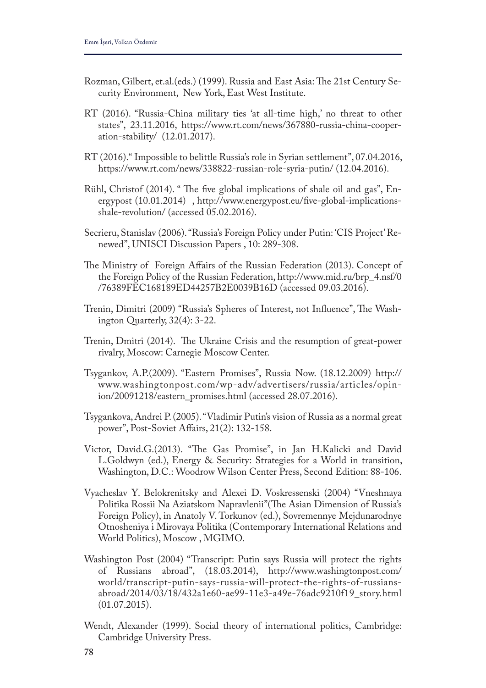- Rozman, Gilbert, et.al.(eds.) (1999). Russia and East Asia: The 21st Century Security Environment, New York, East West Institute.
- RT (2016). "Russia-China military ties 'at all-time high,' no threat to other states", 23.11.2016, https://www.rt.com/news/367880-russia-china-cooperation-stability/ (12.01.2017).
- RT (2016)." Impossible to belittle Russia's role in Syrian settlement", 07.04.2016, https://www.rt.com/news/338822-russian-role-syria-putin/ (12.04.2016).
- Rühl, Christof (2014). "The five global implications of shale oil and gas", Energypost (10.01.2014) , http://www.energypost.eu/fve-global-implicationsshale-revolution/ (accessed 05.02.2016).
- Secrieru, Stanislav (2006). "Russia's Foreign Policy under Putin: 'CIS Project' Renewed", UNISCI Discussion Papers , 10: 289-308.
- The Ministry of Foreign Affairs of the Russian Federation (2013). Concept of the Foreign Policy of the Russian Federation, http://www.mid.ru/brp\_4.nsf/0 /76389FEC168189ED44257B2E0039B16D (accessed 09.03.2016).
- Trenin, Dimitri (2009) "Russia's Spheres of Interest, not Influence", The Washington Quarterly, 32(4): 3-22.
- Trenin, Dmitri (2014). The Ukraine Crisis and the resumption of great-power rivalry, Moscow: Carnegie Moscow Center.
- Tsygankov, A.P.(2009). "Eastern Promises", Russia Now. (18.12.2009) http:// www.washingtonpost.com/wp-adv/advertisers/russia/articles/opinion/20091218/eastern\_promises.html (accessed 28.07.2016).
- Tsygankova, Andrei P. (2005). "Vladimir Putin's vision of Russia as a normal great power", Post-Soviet Afairs, 21(2): 132-158.
- Victor, David.G.(2013). "The Gas Promise", in Jan H.Kalicki and David L.Goldwyn (ed.), Energy & Security: Strategies for a World in transition, Washington, D.C.: Woodrow Wilson Center Press, Second Edition: 88-106.
- Vyacheslav Y. Belokrenitsky and Alexei D. Voskressenski (2004) "Vneshnaya Politika Rossii Na Aziatskom Napravlenii"(The Asian Dimension of Russia's Foreign Policy), in Anatoly V. Torkunov (ed.), Sovremennye Mejdunarodnye Otnosheniya i Mirovaya Politika (Contemporary International Relations and World Politics), Moscow , MGIMO.
- Washington Post (2004) "Transcript: Putin says Russia will protect the rights of Russians abroad", (18.03.2014), http://www.washingtonpost.com/ world/transcript-putin-says-russia-will-protect-the-rights-of-russiansabroad/2014/03/18/432a1e60-ae99-11e3-a49e-76adc9210f19\_story.html (01.07.2015).
- Wendt, Alexander (1999). Social theory of international politics, Cambridge: Cambridge University Press.